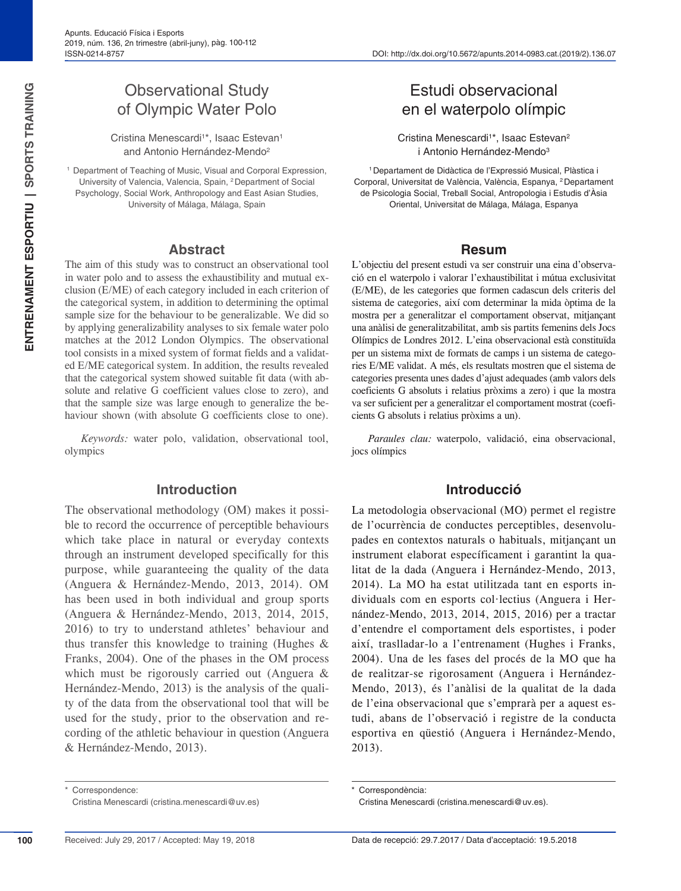# Observational Study of Olympic Water Polo

Cristina Menescardi<sup>1\*</sup>, Isaac Estevan<sup>1</sup> and Antonio Hernández-Mendo<sup>2</sup>

<sup>1</sup> Department of Teaching of Music, Visual and Corporal Expression, University of Valencia, Valencia, Spain, 2Department of Social Psychology, Social Work, Anthropology and East Asian Studies, University of Málaga, Málaga, Spain

#### **Abstract**

The aim of this study was to construct an observational tool in water polo and to assess the exhaustibility and mutual exclusion (E/ME) of each category included in each criterion of the categorical system, in addition to determining the optimal sample size for the behaviour to be generalizable. We did so by applying generalizability analyses to six female water polo matches at the 2012 London Olympics. The observational tool consists in a mixed system of format fields and a validated E/ME categorical system. In addition, the results revealed that the categorical system showed suitable fit data (with absolute and relative G coefficient values close to zero), and that the sample size was large enough to generalize the behaviour shown (with absolute G coefficients close to one).

*Keywords:* water polo, validation, observational tool, olympics

#### **Introduction**

The observational methodology (OM) makes it possible to record the occurrence of perceptible behaviours which take place in natural or everyday contexts through an instrument developed specifically for this purpose, while guaranteeing the quality of the data (Anguera & Hernández-Mendo, 2013, 2014). OM has been used in both individual and group sports (Anguera & Hernández-Mendo, 2013, 2014, 2015, 2016) to try to understand athletes' behaviour and thus transfer this knowledge to training (Hughes & Franks, 2004). One of the phases in the OM process which must be rigorously carried out (Anguera & Hernández-Mendo, 2013) is the analysis of the quality of the data from the observational tool that will be used for the study, prior to the observation and recording of the athletic behaviour in question (Anguera & Hernández-Mendo, 2013).

# Estudi observacional en el waterpolo olímpic

Cristina Menescardi<sup>1\*</sup>, Isaac Estevan<sup>2</sup> i Antonio Hernández-Mendo<sup>3</sup>

1Departament de Didàctica de l'Expressió Musical, Plàstica i Corporal, Universitat de València, València, Espanya, 2Departament de Psicologia Social, Treball Social, Antropologia i Estudis d'Àsia Oriental, Universitat de Málaga, Málaga, Espanya

#### **Resum**

L'objectiu del present estudi va ser construir una eina d'observació en el waterpolo i valorar l'exhaustibilitat i mútua exclusivitat (E/ME), de les categories que formen cadascun dels criteris del sistema de categories, així com determinar la mida òptima de la mostra per a generalitzar el comportament observat, mitjançant una anàlisi de generalitzabilitat, amb sis partits femenins dels Jocs Olímpics de Londres 2012. L'eina observacional està constituïda per un sistema mixt de formats de camps i un sistema de categories E/ME validat. A més, els resultats mostren que el sistema de categories presenta unes dades d'ajust adequades (amb valors dels coeficients G absoluts i relatius pròxims a zero) i que la mostra va ser suficient per a generalitzar el comportament mostrat (coeficients G absoluts i relatius pròxims a un).

*Paraules clau:* waterpolo, validació, eina observacional, jocs olímpics

#### **Introducció**

La metodologia observacional (MO) permet el registre de l'ocurrència de conductes perceptibles, desenvolupades en contextos naturals o habituals, mitjançant un instrument elaborat específicament i garantint la qualitat de la dada (Anguera i Hernández-Mendo, 2013, 2014). La MO ha estat utilitzada tant en esports individuals com en esports col·lectius (Anguera i Hernández-Mendo, 2013, 2014, 2015, 2016) per a tractar d'entendre el comportament dels esportistes, i poder així, traslladar-lo a l'entrenament (Hughes i Franks, 2004). Una de les fases del procés de la MO que ha de realitzar-se rigorosament (Anguera i Hernández-Mendo, 2013), és l'anàlisi de la qualitat de la dada de l'eina observacional que s'emprarà per a aquest estudi, abans de l'observació i registre de la conducta esportiva en qüestió (Anguera i Hernández-Mendo, 2013).

Correspondència:

**100**

Correspondence: Cristina Menescardi (cristina.menescardi@uv.es)

Cristina Menescardi (cristina.menescardi@uv.es).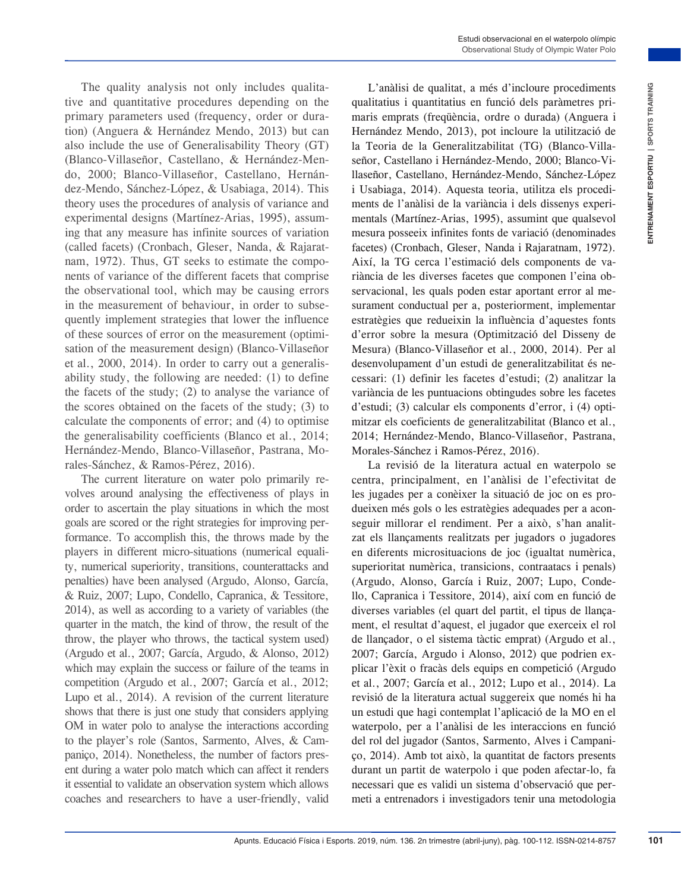The quality analysis not only includes qualitative and quantitative procedures depending on the primary parameters used (frequency, order or duration) (Anguera & Hernández Mendo, 2013) but can also include the use of Generalisability Theory (GT) (Blanco-Villaseñor, Castellano, & Hernández-Mendo, 2000; Blanco-Villaseñor, Castellano, Hernández-Mendo, Sánchez-López, & Usabiaga, 2014). This theory uses the procedures of analysis of variance and experimental designs (Martínez-Arias, 1995), assuming that any measure has infinite sources of variation (called facets) (Cronbach, Gleser, Nanda, & Rajaratnam, 1972). Thus, GT seeks to estimate the components of variance of the different facets that comprise the observational tool, which may be causing errors in the measurement of behaviour, in order to subsequently implement strategies that lower the influence of these sources of error on the measurement (optimisation of the measurement design) (Blanco-Villaseñor et al., 2000, 2014). In order to carry out a generalisability study, the following are needed: (1) to define the facets of the study; (2) to analyse the variance of the scores obtained on the facets of the study; (3) to calculate the components of error; and (4) to optimise the generalisability coefficients (Blanco et al., 2014; Hernández-Mendo, Blanco-Villaseñor, Pastrana, Morales-Sánchez, & Ramos-Pérez, 2016).

The current literature on water polo primarily revolves around analysing the effectiveness of plays in order to ascertain the play situations in which the most goals are scored or the right strategies for improving performance. To accomplish this, the throws made by the players in different micro-situations (numerical equality, numerical superiority, transitions, counterattacks and penalties) have been analysed (Argudo, Alonso, García, & Ruiz, 2007; Lupo, Condello, Capranica, & Tessitore, 2014), as well as according to a variety of variables (the quarter in the match, the kind of throw, the result of the throw, the player who throws, the tactical system used) (Argudo et al., 2007; García, Argudo, & Alonso, 2012) which may explain the success or failure of the teams in competition (Argudo et al., 2007; García et al., 2012; Lupo et al., 2014). A revision of the current literature shows that there is just one study that considers applying OM in water polo to analyse the interactions according to the player's role (Santos, Sarmento, Alves, & Campaniço, 2014). Nonetheless, the number of factors present during a water polo match which can affect it renders it essential to validate an observation system which allows coaches and researchers to have a user-friendly, valid

r includes qualitaties in Tradition de maintains in the Simon procedure and to the controllogically controllogically controllogically controllogically in Terminals. Moreover, the controllogical in the controllogical in the L'anàlisi de qualitat, a més d'incloure procediments qualitatius i quantitatius en funció dels paràmetres primaris emprats (freqüència, ordre o durada) (Anguera i Hernández Mendo, 2013), pot incloure la utilització de la Teoria de la Generalitzabilitat (TG) (Blanco-Villaseñor, Castellano i Hernández-Mendo, 2000; Blanco-Villaseñor, Castellano, Hernández-Mendo, Sánchez-López i Usabiaga, 2014). Aquesta teoria, utilitza els procediments de l'anàlisi de la variància i dels dissenys experimentals (Martínez-Arias, 1995), assumint que qualsevol mesura posseeix infinites fonts de variació (denominades facetes) (Cronbach, Gleser, Nanda i Rajaratnam, 1972). Així, la TG cerca l'estimació dels components de variància de les diverses facetes que componen l'eina observacional, les quals poden estar aportant error al mesurament conductual per a, posteriorment, implementar estratègies que redueixin la influència d'aquestes fonts d'error sobre la mesura (Optimització del Disseny de Mesura) (Blanco-Villaseñor et al., 2000, 2014). Per al desenvolupament d'un estudi de generalitzabilitat és necessari: (1) definir les facetes d'estudi; (2) analitzar la variància de les puntuacions obtingudes sobre les facetes d'estudi; (3) calcular els components d'error, i (4) optimitzar els coeficients de generalitzabilitat (Blanco et al., 2014; Hernández-Mendo, Blanco-Villaseñor, Pastrana, Morales-Sánchez i Ramos-Pérez, 2016).

La revisió de la literatura actual en waterpolo se centra, principalment, en l'anàlisi de l'efectivitat de les jugades per a conèixer la situació de joc on es produeixen més gols o les estratègies adequades per a aconseguir millorar el rendiment. Per a això, s'han analitzat els llançaments realitzats per jugadors o jugadores en diferents microsituacions de joc (igualtat numèrica, superioritat numèrica, transicions, contraatacs i penals) (Argudo, Alonso, García i Ruiz, 2007; Lupo, Condello, Capranica i Tessitore, 2014), així com en funció de diverses variables (el quart del partit, el tipus de llançament, el resultat d'aquest, el jugador que exerceix el rol de llançador, o el sistema tàctic emprat) (Argudo et al., 2007; García, Argudo i Alonso, 2012) que podrien explicar l'èxit o fracàs dels equips en competició (Argudo et al., 2007; García et al., 2012; Lupo et al., 2014). La revisió de la literatura actual suggereix que només hi ha un estudi que hagi contemplat l'aplicació de la MO en el waterpolo, per a l'anàlisi de les interaccions en funció del rol del jugador (Santos, Sarmento, Alves i Campaniço, 2014). Amb tot això, la quantitat de factors presents durant un partit de waterpolo i que poden afectar-lo, fa necessari que es validi un sistema d'observació que permeti a entrenadors i investigadors tenir una metodologia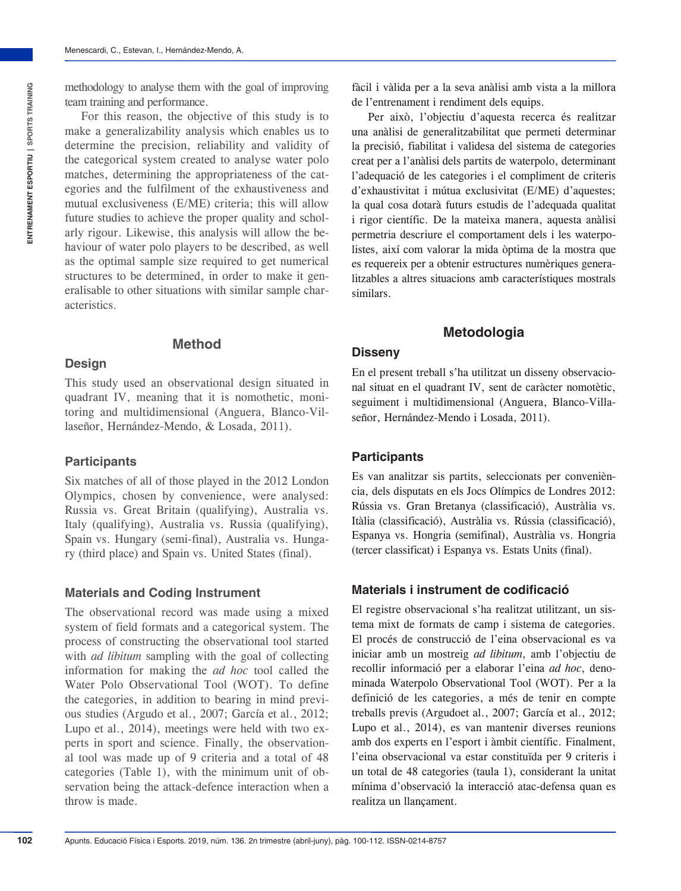For this reason, the objective of this study is to make a generalizability analysis which enables us to determine the precision, reliability and validity of the categorical system created to analyse water polo matches, determining the appropriateness of the categories and the fulfilment of the exhaustiveness and mutual exclusiveness (E/ME) criteria; this will allow future studies to achieve the proper quality and scholarly rigour. Likewise, this analysis will allow the behaviour of water polo players to be described, as well as the optimal sample size required to get numerical structures to be determined, in order to make it generalisable to other situations with similar sample characteristics.

This study used an observational design situated in quadrant IV, meaning that it is nomothetic, monitoring and multidimensional (Anguera, Blanco-Villaseñor, Hernández-Mendo, & Losada, 2011).

**Method**

### **Participants**

**Design**

Six matches of all of those played in the 2012 London Olympics, chosen by convenience, were analysed: Russia vs. Great Britain (qualifying), Australia vs. Italy (qualifying), Australia vs. Russia (qualifying), Spain vs. Hungary (semi-final), Australia vs. Hungary (third place) and Spain vs. United States (final).

### **Materials and Coding Instrument**

The observational record was made using a mixed system of field formats and a categorical system. The process of constructing the observational tool started with *ad libitum* sampling with the goal of collecting information for making the *ad hoc* tool called the Water Polo Observational Tool (WOT). To define the categories, in addition to bearing in mind previous studies (Argudo et al., 2007; García et al., 2012; Lupo et al., 2014), meetings were held with two experts in sport and science. Finally, the observational tool was made up of 9 criteria and a total of 48 categories (Table 1), with the minimum unit of observation being the attack-defence interaction when a throw is made.

fàcil i vàlida per a la seva anàlisi amb vista a la millora de l'entrenament i rendiment dels equips.

Per això, l'objectiu d'aquesta recerca és realitzar una anàlisi de generalitzabilitat que permeti determinar la precisió, fiabilitat i validesa del sistema de categories creat per a l'anàlisi dels partits de waterpolo, determinant l'adequació de les categories i el compliment de criteris d'exhaustivitat i mútua exclusivitat (E/ME) d'aquestes; la qual cosa dotarà futurs estudis de l'adequada qualitat i rigor científic. De la mateixa manera, aquesta anàlisi permetria descriure el comportament dels i les waterpolistes, així com valorar la mida òptima de la mostra que es requereix per a obtenir estructures numèriques generalitzables a altres situacions amb característiques mostrals similars.

## **Metodologia**

#### **Disseny**

En el present treball s'ha utilitzat un disseny observacional situat en el quadrant IV, sent de caràcter nomotètic, seguiment i multidimensional (Anguera, Blanco-Villaseñor, Hernández-Mendo i Losada, 2011).

### **Participants**

Es van analitzar sis partits, seleccionats per conveniència, dels disputats en els Jocs Olímpics de Londres 2012: Rússia vs. Gran Bretanya (classificació), Austràlia vs. Itàlia (classificació), Austràlia vs. Rússia (classificació), Espanya vs. Hongria (semifinal), Austràlia vs. Hongria (tercer classificat) i Espanya vs. Estats Units (final).

## **Materials i instrument de codificació**

El registre observacional s'ha realitzat utilitzant, un sistema mixt de formats de camp i sistema de categories. El procés de construcció de l'eina observacional es va iniciar amb un mostreig *ad libitum*, amb l'objectiu de recollir informació per a elaborar l'eina *ad hoc*, denominada Waterpolo Observational Tool (WOT). Per a la definició de les categories, a més de tenir en compte treballs previs (Argudoet al., 2007; García et al., 2012; Lupo et al., 2014), es van mantenir diverses reunions amb dos experts en l'esport i àmbit científic. Finalment, l'eina observacional va estar constituïda per 9 criteris i un total de 48 categories (taula 1), considerant la unitat mínima d'observació la interacció atac-defensa quan es realitza un llançament.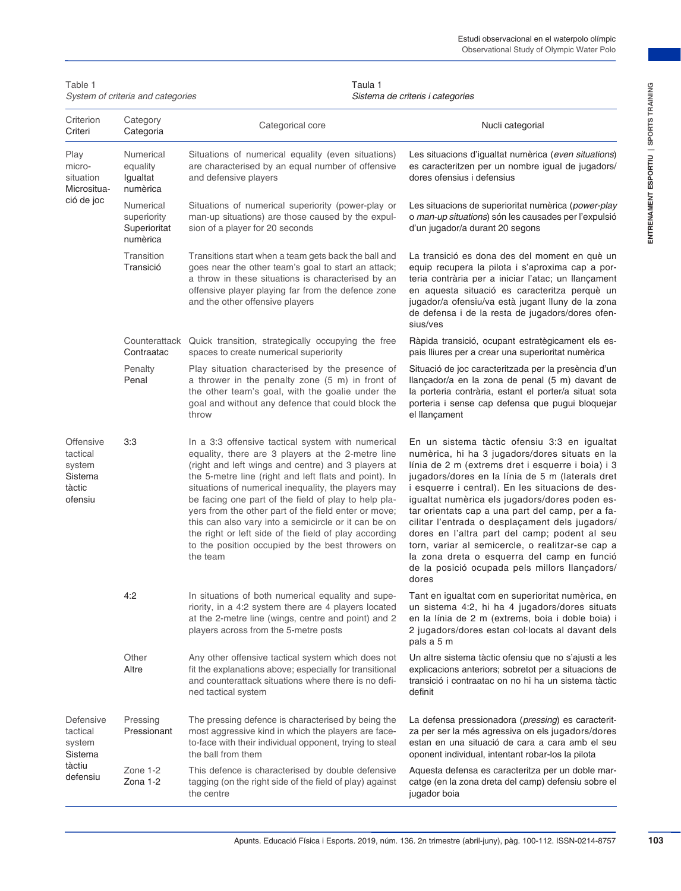| Table 1                                                         | System of criteria and categories                    | Taula 1<br>Sistema de criteris i categories                                                                                                                                                                                                                                                                                                                                                                                                                                                                                                                                   |                                                                                                                                                                                                                                                                                                                                                                                                                                                                                                                                                                                                                                     |  |  |  |
|-----------------------------------------------------------------|------------------------------------------------------|-------------------------------------------------------------------------------------------------------------------------------------------------------------------------------------------------------------------------------------------------------------------------------------------------------------------------------------------------------------------------------------------------------------------------------------------------------------------------------------------------------------------------------------------------------------------------------|-------------------------------------------------------------------------------------------------------------------------------------------------------------------------------------------------------------------------------------------------------------------------------------------------------------------------------------------------------------------------------------------------------------------------------------------------------------------------------------------------------------------------------------------------------------------------------------------------------------------------------------|--|--|--|
| Criterion<br>Criteri                                            | Category<br>Categoria                                | Categorical core                                                                                                                                                                                                                                                                                                                                                                                                                                                                                                                                                              | Nucli categorial                                                                                                                                                                                                                                                                                                                                                                                                                                                                                                                                                                                                                    |  |  |  |
| Play<br>micro-<br>situation<br>Micrositua-                      | Numerical<br>equality<br>Igualtat<br>numèrica        | Situations of numerical equality (even situations)<br>are characterised by an equal number of offensive<br>and defensive players                                                                                                                                                                                                                                                                                                                                                                                                                                              | Les situacions d'igualtat numèrica (even situations)<br>es caracteritzen per un nombre igual de jugadors/<br>dores ofensius i defensius                                                                                                                                                                                                                                                                                                                                                                                                                                                                                             |  |  |  |
| ció de joc                                                      | Numerical<br>superiority<br>Superioritat<br>numèrica | Situations of numerical superiority (power-play or<br>man-up situations) are those caused by the expul-<br>sion of a player for 20 seconds                                                                                                                                                                                                                                                                                                                                                                                                                                    | Les situacions de superioritat numèrica (power-play<br>o man-up situations) són les causades per l'expulsió<br>d'un jugador/a durant 20 segons                                                                                                                                                                                                                                                                                                                                                                                                                                                                                      |  |  |  |
|                                                                 | Transition<br>Transició                              | Transitions start when a team gets back the ball and<br>goes near the other team's goal to start an attack;<br>a throw in these situations is characterised by an<br>offensive player playing far from the defence zone<br>and the other offensive players                                                                                                                                                                                                                                                                                                                    | La transició es dona des del moment en què un<br>equip recupera la pilota i s'aproxima cap a por-<br>teria contrària per a iniciar l'atac; un llançament<br>en aquesta situació es caracteritza perquè un<br>jugador/a ofensiu/va està jugant lluny de la zona<br>de defensa i de la resta de jugadors/dores ofen-<br>sius/ves                                                                                                                                                                                                                                                                                                      |  |  |  |
|                                                                 | Contraatac                                           | Counterattack Quick transition, strategically occupying the free<br>spaces to create numerical superiority                                                                                                                                                                                                                                                                                                                                                                                                                                                                    | Ràpida transició, ocupant estratègicament els es-<br>pais lliures per a crear una superioritat numèrica                                                                                                                                                                                                                                                                                                                                                                                                                                                                                                                             |  |  |  |
|                                                                 | Penalty<br>Penal                                     | Play situation characterised by the presence of<br>a thrower in the penalty zone (5 m) in front of<br>the other team's goal, with the goalie under the<br>goal and without any defence that could block the<br>throw                                                                                                                                                                                                                                                                                                                                                          | Situació de joc caracteritzada per la presència d'un<br>llançador/a en la zona de penal (5 m) davant de<br>la porteria contrària, estant el porter/a situat sota<br>porteria i sense cap defensa que pugui bloquejar<br>el llançament                                                                                                                                                                                                                                                                                                                                                                                               |  |  |  |
| Offensive<br>tactical<br>system<br>Sistema<br>tàctic<br>ofensiu | 3:3                                                  | In a 3:3 offensive tactical system with numerical<br>equality, there are 3 players at the 2-metre line<br>(right and left wings and centre) and 3 players at<br>the 5-metre line (right and left flats and point). In<br>situations of numerical inequality, the players may<br>be facing one part of the field of play to help pla-<br>yers from the other part of the field enter or move;<br>this can also vary into a semicircle or it can be on<br>the right or left side of the field of play according<br>to the position occupied by the best throwers on<br>the team | En un sistema tàctic ofensiu 3:3 en igualtat<br>numèrica, hi ha 3 jugadors/dores situats en la<br>línia de 2 m (extrems dret i esquerre i boia) i 3<br>jugadors/dores en la línia de 5 m (laterals dret<br>i esquerre i central). En les situacions de des-<br>igualtat numèrica els jugadors/dores poden es-<br>tar orientats cap a una part del camp, per a fa-<br>cilitar l'entrada o desplaçament dels jugadors/<br>dores en l'altra part del camp; podent al seu<br>torn, variar al semicercle, o realitzar-se cap a<br>la zona dreta o esquerra del camp en funció<br>de la posició ocupada pels millors llançadors/<br>dores |  |  |  |
|                                                                 | 4:2                                                  | In situations of both numerical equality and supe-<br>riority, in a 4:2 system there are 4 players located<br>at the 2-metre line (wings, centre and point) and 2<br>players across from the 5-metre posts                                                                                                                                                                                                                                                                                                                                                                    | Tant en igualtat com en superioritat numèrica, en<br>un sistema 4:2, hi ha 4 jugadors/dores situats<br>en la línia de 2 m (extrems, boia i doble boia) i<br>2 jugadors/dores estan col·locats al davant dels<br>pals a 5 m                                                                                                                                                                                                                                                                                                                                                                                                          |  |  |  |
|                                                                 | Other<br>Altre                                       | Any other offensive tactical system which does not<br>fit the explanations above; especially for transitional<br>and counterattack situations where there is no defi-<br>ned tactical system                                                                                                                                                                                                                                                                                                                                                                                  | Un altre sistema tàctic ofensiu que no s'ajusti a les<br>explicacions anteriors; sobretot per a situacions de<br>transició i contraatac on no hi ha un sistema tàctic<br>definit                                                                                                                                                                                                                                                                                                                                                                                                                                                    |  |  |  |
| Defensive<br>tactical<br>system<br>Sistema                      | Pressing<br>Pressionant                              | The pressing defence is characterised by being the<br>most aggressive kind in which the players are face-<br>to-face with their individual opponent, trying to steal<br>the ball from them                                                                                                                                                                                                                                                                                                                                                                                    | La defensa pressionadora (pressing) es caracterit-<br>za per ser la més agressiva on els jugadors/dores<br>estan en una situació de cara a cara amb el seu<br>oponent individual, intentant robar-los la pilota                                                                                                                                                                                                                                                                                                                                                                                                                     |  |  |  |
| tàctiu<br>defensiu                                              | Zone 1-2<br>Zona 1-2                                 | This defence is characterised by double defensive<br>tagging (on the right side of the field of play) against<br>the centre                                                                                                                                                                                                                                                                                                                                                                                                                                                   | Aquesta defensa es caracteritza per un doble mar-<br>catge (en la zona dreta del camp) defensiu sobre el<br>jugador boia                                                                                                                                                                                                                                                                                                                                                                                                                                                                                                            |  |  |  |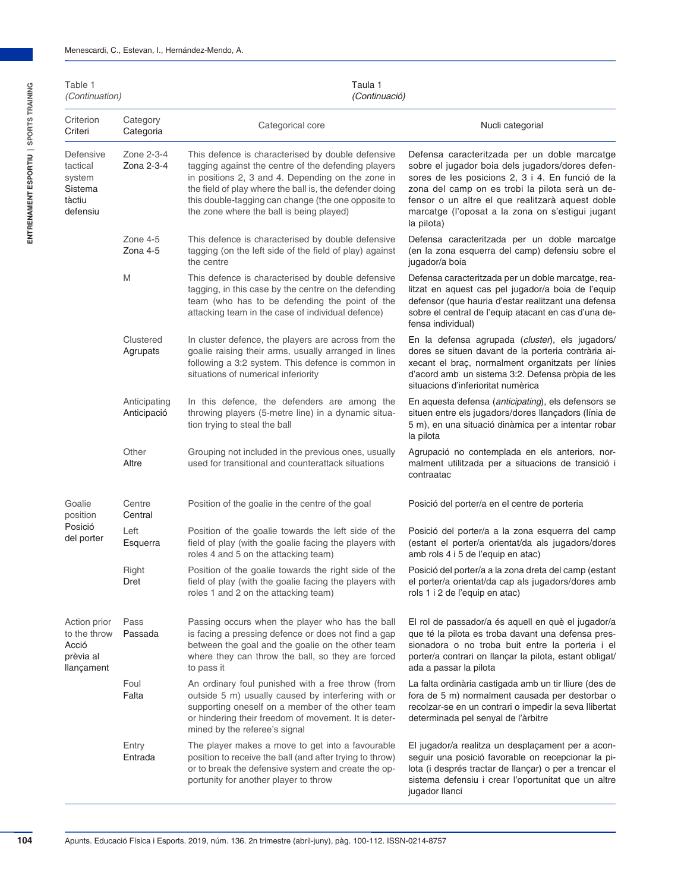| Table 1<br>(Continuation)                                        |                             | Taula 1<br>(Continuació)                                                                                                                                                                                                                                                                                                    |                                                                                                                                                                                                                                                                                                                               |
|------------------------------------------------------------------|-----------------------------|-----------------------------------------------------------------------------------------------------------------------------------------------------------------------------------------------------------------------------------------------------------------------------------------------------------------------------|-------------------------------------------------------------------------------------------------------------------------------------------------------------------------------------------------------------------------------------------------------------------------------------------------------------------------------|
| Criterion<br>Criteri                                             | Category<br>Categoria       | Categorical core                                                                                                                                                                                                                                                                                                            | Nucli categorial                                                                                                                                                                                                                                                                                                              |
| Defensive<br>tactical<br>system<br>Sistema<br>tàctiu<br>defensiu | Zone 2-3-4<br>Zona 2-3-4    | This defence is characterised by double defensive<br>tagging against the centre of the defending players<br>in positions 2, 3 and 4. Depending on the zone in<br>the field of play where the ball is, the defender doing<br>this double-tagging can change (the one opposite to<br>the zone where the ball is being played) | Defensa caracteritzada per un doble marcatge<br>sobre el jugador boia dels jugadors/dores defen-<br>sores de les posicions 2, 3 i 4. En funció de la<br>zona del camp on es trobi la pilota serà un de-<br>fensor o un altre el que realitzarà aquest doble<br>marcatge (l'oposat a la zona on s'estigui jugant<br>la pilota) |
|                                                                  | Zone 4-5<br>Zona 4-5        | This defence is characterised by double defensive<br>tagging (on the left side of the field of play) against<br>the centre                                                                                                                                                                                                  | Defensa caracteritzada per un doble marcatge<br>(en la zona esquerra del camp) defensiu sobre el<br>jugador/a boja                                                                                                                                                                                                            |
|                                                                  | M                           | This defence is characterised by double defensive<br>tagging, in this case by the centre on the defending<br>team (who has to be defending the point of the<br>attacking team in the case of individual defence)                                                                                                            | Defensa caracteritzada per un doble marcatge, rea-<br>litzat en aquest cas pel jugador/a boia de l'equip<br>defensor (que hauria d'estar realitzant una defensa<br>sobre el central de l'equip atacant en cas d'una de-<br>fensa individual)                                                                                  |
|                                                                  | Clustered<br>Agrupats       | In cluster defence, the players are across from the<br>goalie raising their arms, usually arranged in lines<br>following a 3:2 system. This defence is common in<br>situations of numerical inferiority                                                                                                                     | En la defensa agrupada (cluster), els jugadors/<br>dores se situen davant de la porteria contrària ai-<br>xecant el braç, normalment organitzats per línies<br>d'acord amb un sistema 3:2. Defensa pròpia de les<br>situacions d'inferioritat numèrica                                                                        |
|                                                                  | Anticipating<br>Anticipació | In this defence, the defenders are among the<br>throwing players (5-metre line) in a dynamic situa-<br>tion trying to steal the ball                                                                                                                                                                                        | En aquesta defensa (anticipating), els defensors se<br>situen entre els jugadors/dores llançadors (línia de<br>5 m), en una situació dinàmica per a intentar robar<br>la pilota                                                                                                                                               |
|                                                                  | Other<br>Altre              | Grouping not included in the previous ones, usually<br>used for transitional and counterattack situations                                                                                                                                                                                                                   | Agrupació no contemplada en els anteriors, nor-<br>malment utilitzada per a situacions de transició i<br>contraatac                                                                                                                                                                                                           |
| Goalie<br>position                                               | Centre<br>Central           | Position of the goalie in the centre of the goal                                                                                                                                                                                                                                                                            | Posició del porter/a en el centre de porteria                                                                                                                                                                                                                                                                                 |
| Posició<br>del porter                                            | Left<br>Esquerra            | Position of the goalie towards the left side of the<br>field of play (with the goalie facing the players with<br>roles 4 and 5 on the attacking team)                                                                                                                                                                       | Posició del porter/a a la zona esquerra del camp<br>(estant el porter/a orientat/da als jugadors/dores<br>amb rols 4 i 5 de l'equip en atac)                                                                                                                                                                                  |
|                                                                  | Right<br>Dret               | Position of the goalie towards the right side of the<br>field of play (with the goalie facing the players with<br>roles 1 and 2 on the attacking team)                                                                                                                                                                      | Posició del porter/a a la zona dreta del camp (estant<br>el porter/a orientat/da cap als jugadors/dores amb<br>rols 1 i 2 de l'equip en atac)                                                                                                                                                                                 |
| Action prior<br>to the throw<br>Acció<br>prèvia al<br>llançament | Pass<br>Passada             | Passing occurs when the player who has the ball<br>is facing a pressing defence or does not find a gap<br>between the goal and the goalie on the other team<br>where they can throw the ball, so they are forced<br>to pass it                                                                                              | El rol de passador/a és aquell en què el jugador/a<br>que té la pilota es troba davant una defensa pres-<br>sionadora o no troba buit entre la porteria i el<br>porter/a contrari on llançar la pilota, estant obligat/<br>ada a passar la pilota                                                                             |
|                                                                  | Foul<br>Falta               | An ordinary foul punished with a free throw (from<br>outside 5 m) usually caused by interfering with or<br>supporting oneself on a member of the other team<br>or hindering their freedom of movement. It is deter-<br>mined by the referee's signal                                                                        | La falta ordinària castigada amb un tir lliure (des de<br>fora de 5 m) normalment causada per destorbar o<br>recolzar-se en un contrari o impedir la seva llibertat<br>determinada pel senyal de l'àrbitre                                                                                                                    |
|                                                                  | Entry<br>Entrada            | The player makes a move to get into a favourable<br>position to receive the ball (and after trying to throw)<br>or to break the defensive system and create the op-<br>portunity for another player to throw                                                                                                                | El jugador/a realitza un desplaçament per a acon-<br>seguir una posició favorable on recepcionar la pi-<br>lota (i després tractar de llançar) o per a trencar el<br>sistema defensiu i crear l'oportunitat que un altre<br>jugador llanci                                                                                    |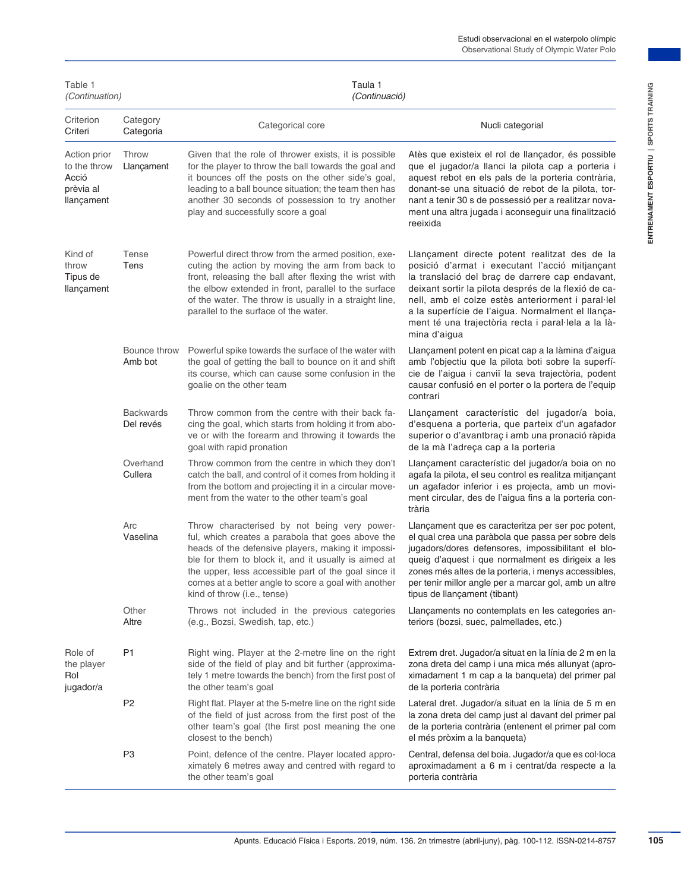| Criterion<br>Criteri                                             | Category<br>Categoria         | Categorical core                                                                                                                                                                                                                                                                                                                                               | Nucli categorial                                                                                                                                                                                                                                                                                                                                                                            |
|------------------------------------------------------------------|-------------------------------|----------------------------------------------------------------------------------------------------------------------------------------------------------------------------------------------------------------------------------------------------------------------------------------------------------------------------------------------------------------|---------------------------------------------------------------------------------------------------------------------------------------------------------------------------------------------------------------------------------------------------------------------------------------------------------------------------------------------------------------------------------------------|
| Action prior<br>to the throw<br>Acció<br>prèvia al<br>llançament | Throw<br>Llançament           | Given that the role of thrower exists, it is possible<br>for the player to throw the ball towards the goal and<br>it bounces off the posts on the other side's goal,<br>leading to a ball bounce situation; the team then has<br>another 30 seconds of possession to try another<br>play and successfully score a goal                                         | Atès que existeix el rol de llançador, és possible<br>que el jugador/a llanci la pilota cap a porteria i<br>aquest rebot en els pals de la porteria contrària,<br>donant-se una situació de rebot de la pilota, tor-<br>nant a tenir 30 s de possessió per a realitzar nova-<br>ment una altra jugada i aconseguir una finalització<br>reeixida                                             |
| Kind of<br>throw<br>Tipus de<br>llançament                       | Tense<br>Tens                 | Powerful direct throw from the armed position, exe-<br>cuting the action by moving the arm from back to<br>front, releasing the ball after flexing the wrist with<br>the elbow extended in front, parallel to the surface<br>of the water. The throw is usually in a straight line,<br>parallel to the surface of the water.                                   | Llançament directe potent realitzat des de la<br>posició d'armat i executant l'acció mitjançant<br>la translació del braç de darrere cap endavant,<br>deixant sortir la pilota després de la flexió de ca-<br>nell, amb el colze estès anteriorment i paral·lel<br>a la superfície de l'aigua. Normalment el llança-<br>ment té una trajectòria recta i paral·lela a la là-<br>mina d'aigua |
|                                                                  | Bounce throw<br>Amb bot       | Powerful spike towards the surface of the water with<br>the goal of getting the ball to bounce on it and shift<br>its course, which can cause some confusion in the<br>goalie on the other team                                                                                                                                                                | Llançament potent en picat cap a la làmina d'aigua<br>amb l'objectiu que la pilota boti sobre la superfí-<br>cie de l'aigua i canviï la seva trajectòria, podent<br>causar confusió en el porter o la portera de l'equip<br>contrari                                                                                                                                                        |
|                                                                  | <b>Backwards</b><br>Del revés | Throw common from the centre with their back fa-<br>cing the goal, which starts from holding it from abo-<br>ve or with the forearm and throwing it towards the<br>goal with rapid pronation                                                                                                                                                                   | Llançament característic del jugador/a boia,<br>d'esquena a porteria, que parteix d'un agafador<br>superior o d'avantbraç i amb una pronació ràpida<br>de la mà l'adreça cap a la porteria                                                                                                                                                                                                  |
|                                                                  | Overhand<br>Cullera           | Throw common from the centre in which they don't<br>catch the ball, and control of it comes from holding it<br>from the bottom and projecting it in a circular move-<br>ment from the water to the other team's goal                                                                                                                                           | Llançament característic del jugador/a boia on no<br>agafa la pilota, el seu control es realitza mitjançant<br>un agafador inferior i es projecta, amb un movi-<br>ment circular, des de l'aigua fins a la porteria con-<br>trària                                                                                                                                                          |
|                                                                  | Arc<br>Vaselina               | Throw characterised by not being very power-<br>ful, which creates a parabola that goes above the<br>heads of the defensive players, making it impossi-<br>ble for them to block it, and it usually is aimed at<br>the upper, less accessible part of the goal since it<br>comes at a better angle to score a goal with another<br>kind of throw (i.e., tense) | Llançament que es caracteritza per ser poc potent,<br>el qual crea una paràbola que passa per sobre dels<br>jugadors/dores defensores, impossibilitant el blo-<br>queig d'aquest i que normalment es dirigeix a les<br>zones més altes de la porteria, i menys accessibles,<br>per tenir millor angle per a marcar gol, amb un altre<br>tipus de llançament (tibant)                        |
|                                                                  | Other<br>Altre                | Throws not included in the previous categories<br>(e.g., Bozsi, Swedish, tap, etc.)                                                                                                                                                                                                                                                                            | Llançaments no contemplats en les categories an-<br>teriors (bozsi, suec, palmellades, etc.)                                                                                                                                                                                                                                                                                                |
| Role of<br>the player<br>Rol<br>jugador/a                        | P1                            | Right wing. Player at the 2-metre line on the right<br>side of the field of play and bit further (approxima-<br>tely 1 metre towards the bench) from the first post of<br>the other team's goal                                                                                                                                                                | Extrem dret. Jugador/a situat en la línia de 2 m en la<br>zona dreta del camp i una mica més allunyat (apro-<br>ximadament 1 m cap a la banqueta) del primer pal<br>de la porteria contrària                                                                                                                                                                                                |
|                                                                  | P <sub>2</sub>                | Right flat. Player at the 5-metre line on the right side<br>of the field of just across from the first post of the<br>other team's goal (the first post meaning the one<br>closest to the bench)                                                                                                                                                               | Lateral dret. Jugador/a situat en la línia de 5 m en<br>la zona dreta del camp just al davant del primer pal<br>de la porteria contrària (entenent el primer pal com<br>el més pròxim a la banqueta)                                                                                                                                                                                        |
|                                                                  | P <sub>3</sub>                | Point, defence of the centre. Player located appro-<br>ximately 6 metres away and centred with regard to<br>the other team's goal                                                                                                                                                                                                                              | Central, defensa del boia. Jugador/a que es col·loca<br>aproximadament a 6 m i centrat/da respecte a la<br>porteria contrària                                                                                                                                                                                                                                                               |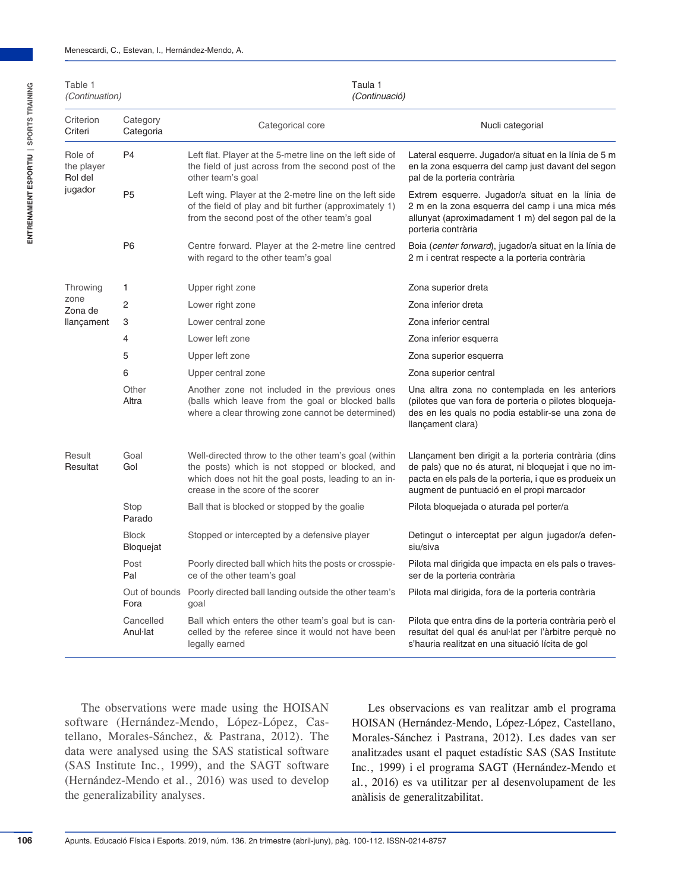| Table 1<br><i>(Continuation)</i>         |                                  | Taula 1<br>(Continuació)                                                                                                                                                                             |                                                                                                                                                                                                                     |  |  |  |  |
|------------------------------------------|----------------------------------|------------------------------------------------------------------------------------------------------------------------------------------------------------------------------------------------------|---------------------------------------------------------------------------------------------------------------------------------------------------------------------------------------------------------------------|--|--|--|--|
| Criterion<br>Criteri                     | Category<br>Categoria            | Categorical core                                                                                                                                                                                     | Nucli categorial                                                                                                                                                                                                    |  |  |  |  |
| Role of<br>the player<br>Rol del         | P <sub>4</sub>                   | Left flat. Player at the 5-metre line on the left side of<br>the field of just across from the second post of the<br>other team's goal                                                               | Lateral esquerre. Jugador/a situat en la línia de 5 m<br>en la zona esquerra del camp just davant del segon<br>pal de la porteria contrària                                                                         |  |  |  |  |
|                                          | P <sub>5</sub>                   | Left wing. Player at the 2-metre line on the left side<br>of the field of play and bit further (approximately 1)<br>from the second post of the other team's goal                                    | Extrem esquerre. Jugador/a situat en la línia de<br>2 m en la zona esquerra del camp i una mica més<br>allunyat (aproximadament 1 m) del segon pal de la<br>porteria contrària                                      |  |  |  |  |
|                                          | P <sub>6</sub>                   | Centre forward. Player at the 2-metre line centred<br>with regard to the other team's goal                                                                                                           | Boia (center forward), jugador/a situat en la línia de<br>2 m i centrat respecte a la porteria contrària                                                                                                            |  |  |  |  |
| Throwing                                 | 1                                | Upper right zone                                                                                                                                                                                     | Zona superior dreta                                                                                                                                                                                                 |  |  |  |  |
| zone                                     | $\overline{2}$                   | Lower right zone                                                                                                                                                                                     | Zona inferior dreta                                                                                                                                                                                                 |  |  |  |  |
| llançament                               | 3                                | Lower central zone                                                                                                                                                                                   | Zona inferior central                                                                                                                                                                                               |  |  |  |  |
|                                          | $\overline{4}$                   | Lower left zone                                                                                                                                                                                      | Zona inferior esquerra                                                                                                                                                                                              |  |  |  |  |
|                                          | 5                                | Upper left zone                                                                                                                                                                                      | Zona superior esquerra                                                                                                                                                                                              |  |  |  |  |
| jugador<br>Zona de<br>Result<br>Resultat | 6                                | Upper central zone                                                                                                                                                                                   | Zona superior central                                                                                                                                                                                               |  |  |  |  |
|                                          | Other<br>Altra                   | Another zone not included in the previous ones<br>(balls which leave from the goal or blocked balls<br>where a clear throwing zone cannot be determined)                                             | Una altra zona no contemplada en les anteriors<br>(pilotes que van fora de porteria o pilotes bloqueja-<br>des en les quals no podia establir-se una zona de<br>llançament clara)                                   |  |  |  |  |
|                                          | Goal<br>Gol                      | Well-directed throw to the other team's goal (within<br>the posts) which is not stopped or blocked, and<br>which does not hit the goal posts, leading to an in-<br>crease in the score of the scorer | Llançament ben dirigit a la porteria contrària (dins<br>de pals) que no és aturat, ni bloquejat i que no im-<br>pacta en els pals de la porteria, i que es produeix un<br>augment de puntuació en el propi marcador |  |  |  |  |
|                                          | Stop<br>Parado                   | Ball that is blocked or stopped by the goalie                                                                                                                                                        | Pilota bloquejada o aturada pel porter/a                                                                                                                                                                            |  |  |  |  |
|                                          | <b>Block</b><br><b>Bloquejat</b> | Stopped or intercepted by a defensive player                                                                                                                                                         | Detingut o interceptat per algun jugador/a defen-<br>siu/siva                                                                                                                                                       |  |  |  |  |
|                                          | Post<br>Pal                      | Poorly directed ball which hits the posts or crosspie-<br>ce of the other team's goal<br>goal<br>Ball which enters the other team's goal but is can-                                                 | Pilota mal dirigida que impacta en els pals o traves-<br>ser de la porteria contrària                                                                                                                               |  |  |  |  |
|                                          | Fora                             | Out of bounds Poorly directed ball landing outside the other team's                                                                                                                                  | Pilota mal dirigida, fora de la porteria contrària                                                                                                                                                                  |  |  |  |  |
|                                          | Cancelled<br>Anul-lat            | celled by the referee since it would not have been<br>legally earned                                                                                                                                 | Pilota que entra dins de la porteria contrària però el<br>resultat del qual és anul·lat per l'àrbitre perquè no<br>s'hauria realitzat en una situació lícita de gol                                                 |  |  |  |  |

The observations were made using the HOISAN software (Hernández-Mendo, López-López, Castellano, Morales-Sánchez, & Pastrana, 2012). The data were analysed using the SAS statistical software (SAS Institute Inc., 1999), and the SAGT software (Hernández-Mendo et al., 2016) was used to develop the generalizability analyses.

Les observacions es van realitzar amb el programa HOISAN (Hernández-Mendo, López-López, Castellano, Morales-Sánchez i Pastrana, 2012). Les dades van ser analitzades usant el paquet estadístic SAS (SAS Institute Inc., 1999) i el programa SAGT (Hernández-Mendo et al., 2016) es va utilitzar per al desenvolupament de les anàlisis de generalitzabilitat.

**106**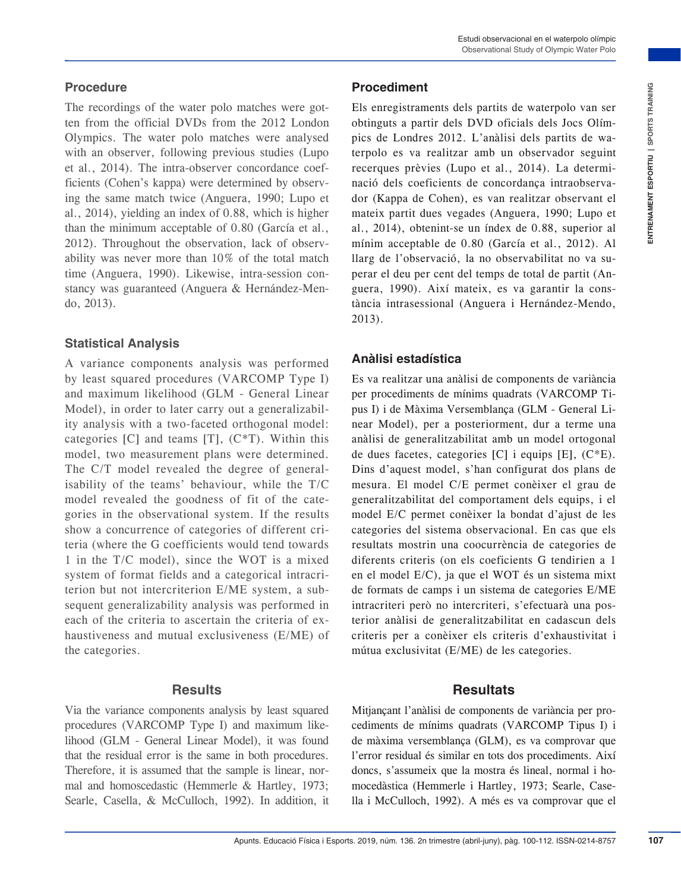### **Procedure**

The recordings of the water polo matches were gotten from the official DVDs from the 2012 London Olympics. The water polo matches were analysed with an observer, following previous studies (Lupo et al., 2014). The intra-observer concordance coefficients (Cohen's kappa) were determined by observing the same match twice (Anguera, 1990; Lupo et al., 2014), yielding an index of 0.88, which is higher than the minimum acceptable of 0.80 (García et al., 2012). Throughout the observation, lack of observability was never more than 10% of the total match time (Anguera, 1990). Likewise, intra-session constancy was guaranteed (Anguera & Hernández-Mendo, 2013).

### **Statistical Analysis**

A variance components analysis was performed by least squared procedures (VARCOMP Type I) and maximum likelihood (GLM - General Linear Model), in order to later carry out a generalizability analysis with a two-faceted orthogonal model: categories  $[C]$  and teams  $[T]$ ,  $(C^*T)$ . Within this model, two measurement plans were determined. The C/T model revealed the degree of generalisability of the teams' behaviour, while the T/C model revealed the goodness of fit of the categories in the observational system. If the results show a concurrence of categories of different criteria (where the G coefficients would tend towards 1 in the T/C model), since the WOT is a mixed system of format fields and a categorical intracriterion but not intercriterion E/ME system, a subsequent generalizability analysis was performed in each of the criteria to ascertain the criteria of exhaustiveness and mutual exclusiveness (E/ME) of the categories.

### **Results**

Via the variance components analysis by least squared procedures (VARCOMP Type I) and maximum likelihood (GLM - General Linear Model), it was found that the residual error is the same in both procedures. Therefore, it is assumed that the sample is linear, normal and homoscedastic (Hemmerle & Hartley, 1973; Searle, Casella, & McCulloch, 1992). In addition, it

## **Procediment**

Els enregistraments dels partits de waterpolo van ser obtinguts a partir dels DVD oficials dels Jocs Olímpics de Londres 2012. L'anàlisi dels partits de waterpolo es va realitzar amb un observador seguint recerques prèvies (Lupo et al., 2014). La determinació dels coeficients de concordança intraobservador (Kappa de Cohen), es van realitzar observant el mateix partit dues vegades (Anguera, 1990; Lupo et al., 2014), obtenint-se un índex de 0.88, superior al mínim acceptable de 0.80 (García et al., 2012). Al llarg de l'observació, la no observabilitat no va superar el deu per cent del temps de total de partit (Anguera, 1990). Així mateix, es va garantir la constància intrasessional (Anguera i Hernández-Mendo, 2013).

## **Anàlisi estadística**

**Encore is the control Fisical interaction in the solution obligatis a particle by DVD official dels for solution obligatis a particle and the solution of the solution of the solution of the solution of the solution of the** Es va realitzar una anàlisi de components de variància per procediments de mínims quadrats (VARCOMP Tipus I) i de Màxima Versemblança (GLM - General Linear Model), per a posteriorment, dur a terme una anàlisi de generalitzabilitat amb un model ortogonal de dues facetes, categories  $[C]$  i equips  $[E]$ ,  $(C^*E)$ . Dins d'aquest model, s'han configurat dos plans de mesura. El model C/E permet conèixer el grau de generalitzabilitat del comportament dels equips, i el model E/C permet conèixer la bondat d'ajust de les categories del sistema observacional. En cas que els resultats mostrin una coocurrència de categories de diferents criteris (on els coeficients G tendirien a 1 en el model E/C), ja que el WOT és un sistema mixt de formats de camps i un sistema de categories E/ME intracriteri però no intercriteri, s'efectuarà una posterior anàlisi de generalitzabilitat en cadascun dels criteris per a conèixer els criteris d'exhaustivitat i mútua exclusivitat (E/ME) de les categories.

# **Resultats**

Mitjançant l'anàlisi de components de variància per procediments de mínims quadrats (VARCOMP Tipus I) i de màxima versemblança (GLM), es va comprovar que l'error residual és similar en tots dos procediments. Així doncs, s'assumeix que la mostra és lineal, normal i homocedàstica (Hemmerle i Hartley, 1973; Searle, Casella i McCulloch, 1992). A més es va comprovar que el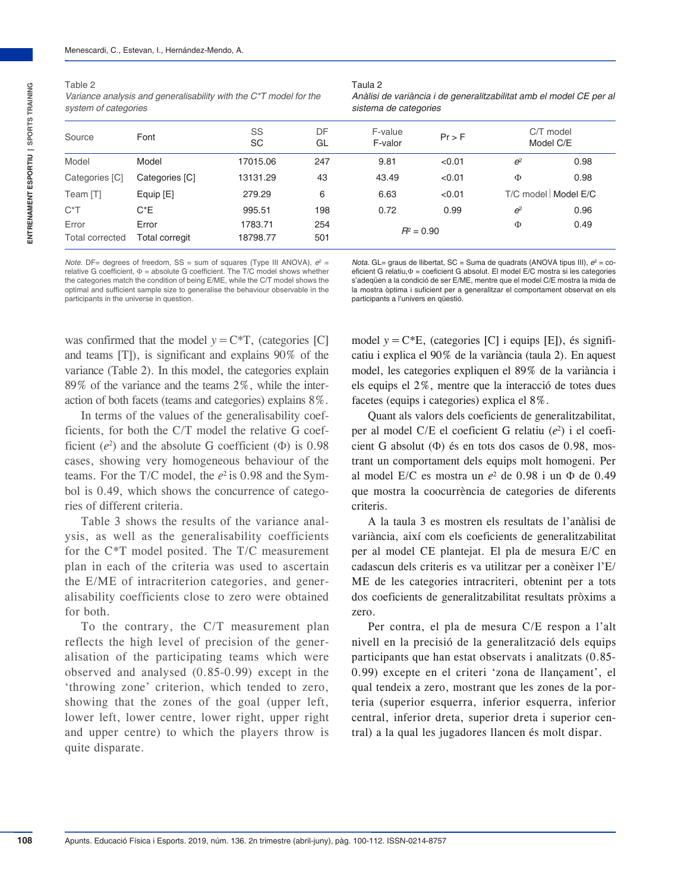**108**

| $\sim$<br>$-$<br>. .<br>۰. |  |
|----------------------------|--|
|----------------------------|--|

*Variance analysis and generalisability with the C\*T model for the system of categories* 

| v<br><br>×<br>× | ×<br>., |
|-----------------|---------|
|-----------------|---------|

| Anàlisi de variància i de generalitzabilitat amb el model CE per al |  |
|---------------------------------------------------------------------|--|
| sistema de categories                                               |  |

| Source                   | Font                    | SS<br>DF<br>F-value<br>SC<br>GL<br>F-valor |            | Pr > F       |                                 | C/T model<br>Model C/E |      |
|--------------------------|-------------------------|--------------------------------------------|------------|--------------|---------------------------------|------------------------|------|
| Model                    | Model                   | 17015.06                                   | 247        | 9.81         | < 0.01                          | e <sup>2</sup>         | 0.98 |
| Categories [C]           | Categories [C]          | 13131.29                                   | 43         | 43.49        | < 0.01                          | Φ                      | 0.98 |
| Team [T]                 | Equip [E]               | 279.29                                     | 6          | 6.63         | T/C model   Model E/C<br>< 0.01 |                        |      |
| $C^*T$                   | $C^*E$                  | 995.51                                     | 198        | 0.72         | 0.99                            | e <sup>2</sup>         | 0.96 |
| Error<br>Total corrected | Error<br>Total corregit | 1783.71<br>18798.77                        | 254<br>501 | $R^2 = 0.90$ |                                 | Φ                      | 0.49 |

*Note.* DF= degrees of freedom,  $SS = sum$  of squares (Type III ANOVA),  $e^2 =$ relative G coefficient,  $\Phi$  = absolute G coefficient. The T/C model shows whether the categories match the condition of being E/ME, while the C/T model shows the optimal and sufficient sample size to generalise the behaviour observable in the participants in the universe in question.

*Nota*. GL= graus de llibertat, SC = Suma de quadrats (ANOVA tipus III),  $e^2$  = coeficient G relatiu,Φ = coeficient G absolut. El model E/C mostra si les categories s'adeqüen a la condició de ser E/ME, mentre que el model C/E mostra la mida de la mostra òptima i suficient per a generalitzar el comportament observat en els participants a l'univers en qüestió.

was confirmed that the model  $y = C*T$ , (categories [C] and teams [T]), is significant and explains 90% of the variance (Table 2). In this model, the categories explain 89% of the variance and the teams 2%, while the interaction of both facets (teams and categories) explains 8%.

In terms of the values of the generalisability coefficients, for both the C/T model the relative G coefficient  $(e^2)$  and the absolute G coefficient  $(\Phi)$  is 0.98 cases, showing very homogeneous behaviour of the teams. For the T/C model, the  $e^2$  is 0.98 and the Symbol is 0.49, which shows the concurrence of categories of different criteria.

Table 3 shows the results of the variance analysis, as well as the generalisability coefficients for the C\*T model posited. The T/C measurement plan in each of the criteria was used to ascertain the E/ME of intracriterion categories, and generalisability coefficients close to zero were obtained for both.

To the contrary, the C/T measurement plan reflects the high level of precision of the generalisation of the participating teams which were observed and analysed (0.85-0.99) except in the 'throwing zone' criterion, which tended to zero, showing that the zones of the goal (upper left, lower left, lower centre, lower right, upper right and upper centre) to which the players throw is quite disparate.

model  $y = C*E$ , (categories [C] i equips [E]), és significatiu i explica el 90% de la variància (taula 2). En aquest model, les categories expliquen el 89% de la variància i els equips el 2%, mentre que la interacció de totes dues facetes (equips i categories) explica el 8%.

Quant als valors dels coeficients de generalitzabilitat, per al model C/E el coeficient G relatiu (*e*2) i el coeficient G absolut (Φ) és en tots dos casos de 0.98, mostrant un comportament dels equips molt homogeni. Per al model E/C es mostra un *e*2 de 0.98 i un Φ de 0.49 que mostra la coocurrència de categories de diferents criteris.

A la taula 3 es mostren els resultats de l'anàlisi de variància, així com els coeficients de generalitzabilitat per al model CE plantejat. El pla de mesura E/C en cadascun dels criteris es va utilitzar per a conèixer l'E/ ME de les categories intracriteri, obtenint per a tots dos coeficients de generalitzabilitat resultats pròxims a zero.

Per contra, el pla de mesura C/E respon a l'alt nivell en la precisió de la generalització dels equips participants que han estat observats i analitzats (0.85-0.99) excepte en el criteri 'zona de llançament', el qual tendeix a zero, mostrant que les zones de la porteria (superior esquerra, inferior esquerra, inferior central, inferior dreta, superior dreta i superior central) a la qual les jugadores llancen és molt dispar.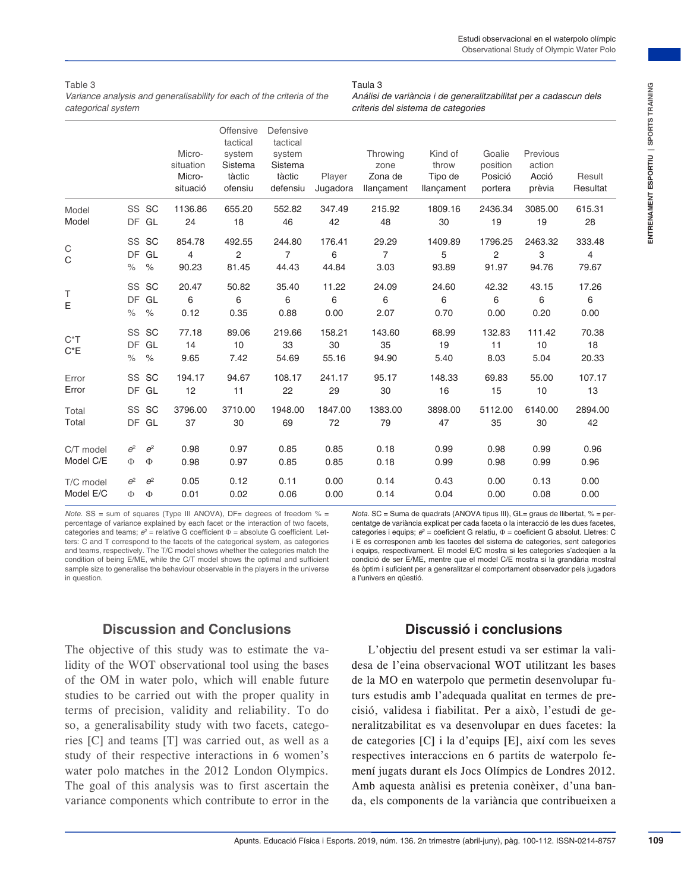Table 3 *Variance analysis and generalisability for each of the criteria of the categorical system*

|                                                                                                                                                                                                                                                                                                                                                                                                                                                                                                                                                                                                                                |            |                        | Micro-<br>situation<br>Micro-<br>situació            | Offensive<br>tactical<br>system<br>Sistema<br>tàctic<br>ofensiu | Defensive<br>tactical<br>system<br>Sistema<br>tàctic<br>defensiu | Player<br>Jugadora    | Throwing<br>zone<br>Zona de<br>llançament                                                                                                                                                                                                                                                                                                                                                                                                                                                                                                                                                                                                            | Kind of<br>throw<br>Tipo de<br>llançament             | Goalie<br>position<br>Posició<br>portera | Previous<br>action<br>Acció<br>prèvia | Result<br>Resultat   |
|--------------------------------------------------------------------------------------------------------------------------------------------------------------------------------------------------------------------------------------------------------------------------------------------------------------------------------------------------------------------------------------------------------------------------------------------------------------------------------------------------------------------------------------------------------------------------------------------------------------------------------|------------|------------------------|------------------------------------------------------|-----------------------------------------------------------------|------------------------------------------------------------------|-----------------------|------------------------------------------------------------------------------------------------------------------------------------------------------------------------------------------------------------------------------------------------------------------------------------------------------------------------------------------------------------------------------------------------------------------------------------------------------------------------------------------------------------------------------------------------------------------------------------------------------------------------------------------------------|-------------------------------------------------------|------------------------------------------|---------------------------------------|----------------------|
| Model<br>Model                                                                                                                                                                                                                                                                                                                                                                                                                                                                                                                                                                                                                 |            | SS SC<br>DF GL         | 1136.86<br>24                                        | 655.20<br>18                                                    | 552.82<br>46                                                     | 347.49<br>42          | 215.92<br>48                                                                                                                                                                                                                                                                                                                                                                                                                                                                                                                                                                                                                                         | 1809.16<br>30                                         | 2436.34<br>19                            | 3085.00<br>19                         | 615.31<br>28         |
| C<br>С                                                                                                                                                                                                                                                                                                                                                                                                                                                                                                                                                                                                                         | $\%$       | SS SC<br>DF GL<br>$\%$ | 854.78<br>4<br>90.23                                 | 492.55<br>$\overline{c}$<br>81.45                               | 244.80<br>7<br>44.43                                             | 176.41<br>6<br>44.84  | 29.29<br>$\overline{7}$<br>3.03                                                                                                                                                                                                                                                                                                                                                                                                                                                                                                                                                                                                                      | 1409.89<br>5<br>93.89                                 | 1796.25<br>$\overline{c}$<br>91.97       | 2463.32<br>3<br>94.76                 | 333.48<br>4<br>79.67 |
| Т<br>E                                                                                                                                                                                                                                                                                                                                                                                                                                                                                                                                                                                                                         | $\%$       | SS SC<br>DF GL<br>$\%$ | 20.47<br>6<br>0.12                                   | 50.82<br>6<br>0.35                                              | 35.40<br>6<br>0.88                                               | 11.22<br>6<br>0.00    | 24.09<br>6<br>2.07                                                                                                                                                                                                                                                                                                                                                                                                                                                                                                                                                                                                                                   | 24.60<br>6<br>0.70                                    | 42.32<br>6<br>0.00                       | 43.15<br>6<br>0.20                    | 17.26<br>6<br>0.00   |
| $C^*T$<br>$C^*E$                                                                                                                                                                                                                                                                                                                                                                                                                                                                                                                                                                                                               | $\%$       | SS SC<br>DF GL<br>$\%$ | 77.18<br>14<br>9.65                                  | 89.06<br>10<br>7.42                                             | 219.66<br>33<br>54.69                                            | 158.21<br>30<br>55.16 | 143.60<br>35<br>94.90                                                                                                                                                                                                                                                                                                                                                                                                                                                                                                                                                                                                                                | 68.99<br>19<br>5.40                                   | 132.83<br>11<br>8.03                     | 111.42<br>10<br>5.04                  | 70.38<br>18<br>20.33 |
| Error<br>Error                                                                                                                                                                                                                                                                                                                                                                                                                                                                                                                                                                                                                 |            | SS SC<br>DF GL         | 194.17<br>12                                         | 94.67<br>11                                                     | 108.17<br>22                                                     | 241.17<br>29          | 95.17<br>30                                                                                                                                                                                                                                                                                                                                                                                                                                                                                                                                                                                                                                          | 148.33<br>16                                          | 69.83<br>15                              | 55.00<br>10                           | 107.17<br>13         |
| Total<br>Total                                                                                                                                                                                                                                                                                                                                                                                                                                                                                                                                                                                                                 |            | SS SC<br>DF GL         | 3796.00<br>37                                        | 3710.00<br>30                                                   | 1948.00<br>69                                                    | 1847.00<br>72         | 1383.00<br>79                                                                                                                                                                                                                                                                                                                                                                                                                                                                                                                                                                                                                                        | 3898.00<br>47                                         | 5112.00<br>35                            | 6140.00<br>30                         | 2894.00<br>42        |
| C/T model<br>Model C/E                                                                                                                                                                                                                                                                                                                                                                                                                                                                                                                                                                                                         | $e^2$<br>Ф | $e^2$<br>Ф             | 0.98<br>0.98                                         | 0.97<br>0.97                                                    | 0.85<br>0.85                                                     | 0.85<br>0.85          | 0.18<br>0.18                                                                                                                                                                                                                                                                                                                                                                                                                                                                                                                                                                                                                                         | 0.99<br>0.99                                          | 0.98<br>0.98                             | 0.99<br>0.99                          | 0.96<br>0.96         |
| T/C model<br>Model E/C                                                                                                                                                                                                                                                                                                                                                                                                                                                                                                                                                                                                         | $e^2$<br>Ф | $e^2$<br>Ф             | 0.05<br>0.01                                         | 0.12<br>0.02                                                    | 0.11<br>0.06                                                     | 0.00<br>0.00          | 0.14<br>0.14                                                                                                                                                                                                                                                                                                                                                                                                                                                                                                                                                                                                                                         | 0.43<br>0.04                                          | 0.00<br>0.00                             | 0.13<br>0.08                          | 0.00<br>0.00         |
| <i>Note.</i> SS = sum of squares (Type III ANOVA), $DF =$ degrees of freedom $% =$<br>percentage of variance explained by each facet or the interaction of two facets,<br>categories and teams; $e^2$ = relative G coefficient $\Phi$ = absolute G coefficient. Let-<br>ters: C and T correspond to the facets of the categorical system, as categories<br>and teams, respectively. The T/C model shows whether the categories match the<br>condition of being E/ME, while the C/T model shows the optimal and sufficient<br>sample size to generalise the behaviour observable in the players in the universe<br>in question. |            |                        |                                                      |                                                                 |                                                                  |                       | <i>Nota.</i> SC = Suma de quadrats (ANOVA tipus III), $GL =$ graus de llibertat, $% =$ per-<br>centatge de variància explicat per cada faceta o la interacció de les dues facetes,<br>categories i equips; $e^2$ = coeficient G relatiu, $\Phi$ = coeficient G absolut. Lletres: C<br>i E es corresponen amb les facetes del sistema de categories, sent categories<br>i equips, respectivament. El model E/C mostra si les categories s'adequen a la<br>condició de ser E/ME, mentre que el model C/E mostra si la grandària mostral<br>és òptim i suficient per a generalitzar el comportament observador pels jugadors<br>a l'univers en qüestió. |                                                       |                                          |                                       |                      |
|                                                                                                                                                                                                                                                                                                                                                                                                                                                                                                                                                                                                                                |            |                        | <b>Discussion and Conclusions</b>                    |                                                                 |                                                                  |                       |                                                                                                                                                                                                                                                                                                                                                                                                                                                                                                                                                                                                                                                      | Discussió i conclusions                               |                                          |                                       |                      |
| The objective of this study was to estimate the va-<br>lidity of the WOT observational tool using the bases<br>of the OM in water polo, which will enable future<br>studies to be carried out with the proper quality in<br>terms of precision, validity and reliability. To do<br>so, a generalisability study with two facets, catego-<br>ries [C] and teams [T] was carried out, as well as a<br>study of their respective interactions in 6 women's<br>water polo matches in the 2012 London Olympics.<br>The goal of this analysis was to first ascertain the                                                             |            |                        | variance components which contribute to error in the |                                                                 |                                                                  |                       | desa de l'eina observacional WOT utilitzant les bases<br>de la MO en waterpolo que permetin desenvolupar fu-<br>turs estudis amb l'adequada qualitat en termes de pre-<br>cisió, validesa i fiabilitat. Per a això, l'estudi de ge-<br>neralitzabilitat es va desenvolupar en dues facetes: la<br>de categories [C] i la d'equips [E], així com les seves<br>respectives interaccions en 6 partits de waterpolo fe-<br>mení jugats durant els Jocs Olímpics de Londres 2012.<br>Amb aquesta anàlisi es pretenia conèixer, d'una ban-<br>da, els components de la variància que contribueixen a                                                       | L'objectiu del present estudi va ser estimar la vali- |                                          |                                       |                      |

Taula 3

## **Discussion and Conclusions**

## **Discussió i conclusions**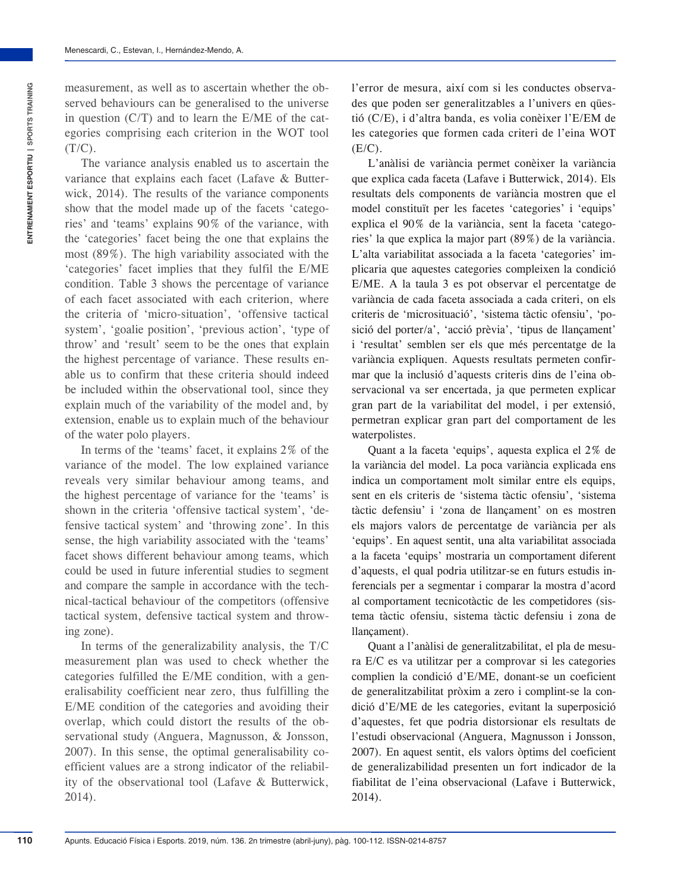measurement, as well as to ascertain whether the observed behaviours can be generalised to the universe in question (C/T) and to learn the E/ME of the categories comprising each criterion in the WOT tool  $(T/C)$ .

The variance analysis enabled us to ascertain the variance that explains each facet (Lafave & Butterwick, 2014). The results of the variance components show that the model made up of the facets 'categories' and 'teams' explains 90% of the variance, with the 'categories' facet being the one that explains the most (89%). The high variability associated with the 'categories' facet implies that they fulfil the E/ME condition. Table 3 shows the percentage of variance of each facet associated with each criterion, where the criteria of 'micro-situation', 'offensive tactical system', 'goalie position', 'previous action', 'type of throw' and 'result' seem to be the ones that explain the highest percentage of variance. These results enable us to confirm that these criteria should indeed be included within the observational tool, since they explain much of the variability of the model and, by extension, enable us to explain much of the behaviour of the water polo players.

In terms of the 'teams' facet, it explains 2% of the variance of the model. The low explained variance reveals very similar behaviour among teams, and the highest percentage of variance for the 'teams' is shown in the criteria 'offensive tactical system', 'defensive tactical system' and 'throwing zone'. In this sense, the high variability associated with the 'teams' facet shows different behaviour among teams, which could be used in future inferential studies to segment and compare the sample in accordance with the technical-tactical behaviour of the competitors (offensive tactical system, defensive tactical system and throwing zone).

In terms of the generalizability analysis, the T/C measurement plan was used to check whether the categories fulfilled the E/ME condition, with a generalisability coefficient near zero, thus fulfilling the E/ME condition of the categories and avoiding their overlap, which could distort the results of the observational study (Anguera, Magnusson, & Jonsson, 2007). In this sense, the optimal generalisability coefficient values are a strong indicator of the reliability of the observational tool (Lafave & Butterwick, 2014).

l'error de mesura, així com si les conductes observades que poden ser generalitzables a l'univers en qüestió (C/E), i d'altra banda, es volia conèixer l'E/EM de les categories que formen cada criteri de l'eina WOT  $(E/C)$ .

L'anàlisi de variància permet conèixer la variància que explica cada faceta (Lafave i Butterwick, 2014). Els resultats dels components de variància mostren que el model constituït per les facetes 'categories' i 'equips' explica el 90% de la variància, sent la faceta 'categories' la que explica la major part (89%) de la variància. L'alta variabilitat associada a la faceta 'categories' implicaria que aquestes categories compleixen la condició E/ME. A la taula 3 es pot observar el percentatge de variància de cada faceta associada a cada criteri, on els criteris de 'microsituació', 'sistema tàctic ofensiu', 'posició del porter/a', 'acció prèvia', 'tipus de llançament' i 'resultat' semblen ser els que més percentatge de la variància expliquen. Aquests resultats permeten confirmar que la inclusió d'aquests criteris dins de l'eina observacional va ser encertada, ja que permeten explicar gran part de la variabilitat del model, i per extensió, permetran explicar gran part del comportament de les waterpolistes.

Quant a la faceta 'equips', aquesta explica el 2% de la variància del model. La poca variància explicada ens indica un comportament molt similar entre els equips, sent en els criteris de 'sistema tàctic ofensiu', 'sistema tàctic defensiu' i 'zona de llançament' on es mostren els majors valors de percentatge de variància per als 'equips'. En aquest sentit, una alta variabilitat associada a la faceta 'equips' mostraria un comportament diferent d'aquests, el qual podria utilitzar-se en futurs estudis inferencials per a segmentar i comparar la mostra d'acord al comportament tecnicotàctic de les competidores (sistema tàctic ofensiu, sistema tàctic defensiu i zona de llançament).

Quant a l'anàlisi de generalitzabilitat, el pla de mesura E/C es va utilitzar per a comprovar si les categories complien la condició d'E/ME, donant-se un coeficient de generalitzabilitat pròxim a zero i complint-se la condició d'E/ME de les categories, evitant la superposició d'aquestes, fet que podria distorsionar els resultats de l'estudi observacional (Anguera, Magnusson i Jonsson, 2007). En aquest sentit, els valors òptims del coeficient de generalizabilidad presenten un fort indicador de la fiabilitat de l'eina observacional (Lafave i Butterwick, 2014).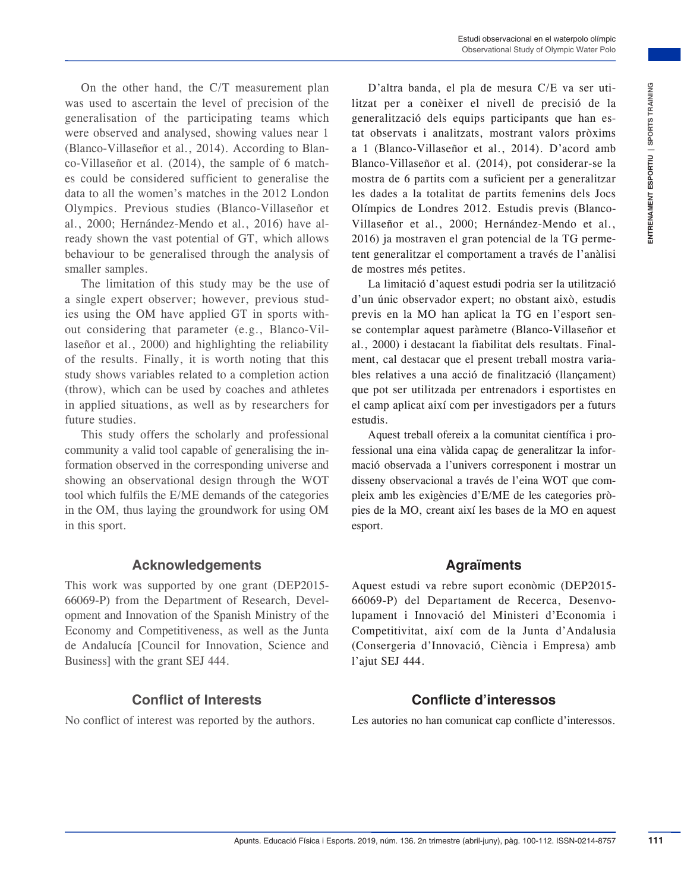On the other hand, the C/T measurement plan was used to ascertain the level of precision of the generalisation of the participating teams which were observed and analysed, showing values near 1 (Blanco-Villaseñor et al., 2014). According to Blanco-Villaseñor et al. (2014), the sample of 6 matches could be considered sufficient to generalise the data to all the women's matches in the 2012 London Olympics. Previous studies (Blanco-Villaseñor et al., 2000; Hernández-Mendo et al., 2016) have already shown the vast potential of GT, which allows behaviour to be generalised through the analysis of smaller samples.

The limitation of this study may be the use of a single expert observer; however, previous studies using the OM have applied GT in sports without considering that parameter (e.g., Blanco-Villaseñor et al., 2000) and highlighting the reliability of the results. Finally, it is worth noting that this study shows variables related to a completion action (throw), which can be used by coaches and athletes in applied situations, as well as by researchers for future studies.

This study offers the scholarly and professional community a valid tool capable of generalising the information observed in the corresponding universe and showing an observational design through the WOT tool which fulfils the E/ME demands of the categories in the OM, thus laying the groundwork for using OM in this sport.

#### **Acknowledgements**

This work was supported by one grant (DEP2015-66069-P) from the Department of Research, Development and Innovation of the Spanish Ministry of the Economy and Competitiveness, as well as the Junta de Andalucía [Council for Innovation, Science and Business] with the grant SEJ 444.

## **Conflict of Interests**

No conflict of interest was reported by the authors.

measurement plant<br>
measurement plant and the state is a sensitive of the constitute of the state in the state is a sensitive of the state in the state is a sensitive of the state is a sensitive of the state in the state is D'altra banda, el pla de mesura C/E va ser utilitzat per a conèixer el nivell de precisió de la generalització dels equips participants que han estat observats i analitzats, mostrant valors pròxims a 1 (Blanco-Villaseñor et al., 2014). D'acord amb Blanco-Villaseñor et al. (2014), pot considerar-se la mostra de 6 partits com a suficient per a generalitzar les dades a la totalitat de partits femenins dels Jocs Olímpics de Londres 2012. Estudis previs (Blanco-Villaseñor et al., 2000; Hernández-Mendo et al., 2016) ja mostraven el gran potencial de la TG permetent generalitzar el comportament a través de l'anàlisi de mostres més petites.

La limitació d'aquest estudi podria ser la utilització d'un únic observador expert; no obstant això, estudis previs en la MO han aplicat la TG en l'esport sense contemplar aquest paràmetre (Blanco-Villaseñor et al., 2000) i destacant la fiabilitat dels resultats. Finalment, cal destacar que el present treball mostra variables relatives a una acció de finalització (llançament) que pot ser utilitzada per entrenadors i esportistes en el camp aplicat així com per investigadors per a futurs estudis.

Aquest treball ofereix a la comunitat científica i professional una eina vàlida capaç de generalitzar la informació observada a l'univers corresponent i mostrar un disseny observacional a través de l'eina WOT que compleix amb les exigències d'E/ME de les categories pròpies de la MO, creant així les bases de la MO en aquest esport.

#### **Agraïments**

Aquest estudi va rebre suport econòmic (DEP2015-66069-P) del Departament de Recerca, Desenvolupament i Innovació del Ministeri d'Economia i Competitivitat, així com de la Junta d'Andalusia (Consergeria d'Innovació, Ciència i Empresa) amb l'ajut SEJ 444.

### **Conflicte d'interessos**

Les autories no han comunicat cap conflicte d'interessos.